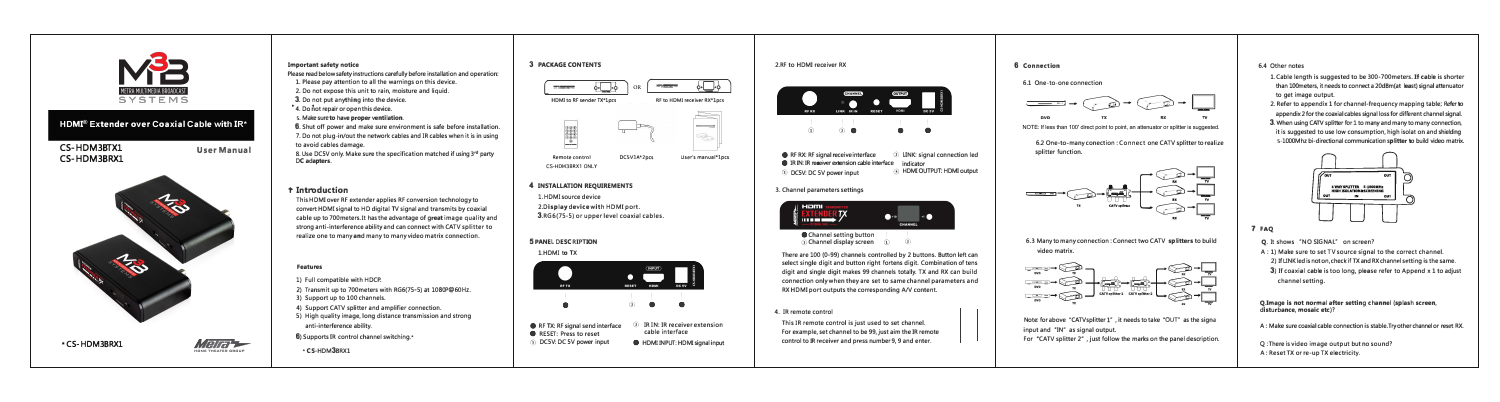

### **Important safety notice**

**Please read below safety instructions carefully before installation and operation:** 

- **1. Please pay attention to all the warnings on this device.**
- **2. Do not expose this unit to rain, moisture and liquid.**
- **3. Do not put anything into the device.**
- **•4. Do not repair or open this device.**
- **5. Make sure to have proper ventilation.**

**6. Shut off power and make sure environment is safe before installation. 7. Do not plug-in/out the network cables and IR cables when it is in using to avoid cables damage.** 

**8. Use DCSV only. Make sure the specification matched if using 3rd party DC adapters.** 

### **'t' Introduction**

**This HDMI over RF extender applies RF conversion technology to convert HDMisignal to HD digital TV signal and transmits by coaxial cable up to 700meters. It has the advantage of great image quality and**  strong anti-interference ability and can connect with CATV splitter to **realize one to many and many to many video matrix connection.** 

## I I **0 0 ©**  I **©**   $\frac{1}{2}$   $\frac{1}{2}$   $\frac{1}{2}$   $\frac{1}{2}$

**3. Channel parameters settings**   $\mathbf{m}$  . The set of  $\mathbf{m}$ 

**Channel setting button** 

### **Features**

1) Full compatible with HDCP.

- **2) Transmit up to 700meters with RG6(75-5) at 1080P@60Hz.**
- **3) Support up to 100 channels.**
- **4) Support CATV splitter and amplifier connection.**
- **5) High quality image, long distance transmission and strong anti-interference ability.**

**6) Supports IR control channel switching.\***

### **\* CS-HDM3BRX1**



**6.3** Many to many connection : Connect two CATV splitters to build **video matrix.** 



**H DMI to RF send er TX\*lpcs RF to HDMJ receiver RX\*lpcs** 

Note: for above "CATVsplitter 1", it needs to take "OUT" as the signa **input and ·IN" as signal output.** 



**l.HDMI source device** 

**2.Display device with HOM! port. 3.RG5(75-5) or upper level coaxial cables.**

### **5 PANEL DESCRIPTION**

**1. HDMI to TX** 

**2.RF to HDMI receiver RX** 

 $_{\tiny{\textregistered}}$ 

**• RF RX: RF signal receive interface** <sup>2</sup> LINK: signal connection led **•** IR IN: IR receiver extension cable interface indicator **indicator indicator in** IDMI OUTPUT: HDMI output **8 DC5V: DC 5V power input** 

## **4 INSTALLATION REQUIREMENTS**

**There are 100 (0-99) channels controlled by 2 buttons. Button left can select single digit and button right fortens digit. Combination of tens digit and single digit makes 99 channels totally. TX and RX can build connection only when they are set to same channel parameters and RX HDMI port outputs the corresponding A/V content.** 

**4. IR remote control This IR remote control is just used to set channel. For example, set channel to be 99, just aim the IR remote control to IR receiver and press number 9, 9 and enter.** 

### **6 Connection**

**6.1 One-to-one connection** 



NOTE: If less than 100' direct point to point, an attenuator or splitter is suggested.





**For ·cATV splitter 2· , just follow the marks on the panel description.** 

### **6.4 Other notes**



- **1. Cable length is suggested to be 300-700meters. If cable is shorter than 100meters, it needs to connect a 20dBm(atlleast) signal attenuator to get image output.**
- **2. Refer to appendix 1 for channel-frequency mapping table; Referto appendix 2 for the coaxial cables signal loss for different channel signal.**
- **3. When using CATV splitter forl to many andmany to many connection, it is suggested to use low consumption, high isolation and shielding 5-lOOOMhz bi-directional communication splitterto build video matrix.**



### **7 FAQ**

**splitter function. 6.2 One-to-many conection : Connect one CATV splitter to realize** 

- **Q. It shows 'NO SIGNAL" on screen?**
- **A : 1) Make sure to set TV source signal to the correct channel. 2) IfLINKledisnoton,check if TX andRX channel setting is the same.**
- **3**) If coaxial cable is too long, please refer to Append x 1 to adjust **channel setting.**

**Q.Image is not normal after setting channel (splash screen, disturbance, mosaic etc)?** 

**A : Make sure coaxial cable connection is stable. Try other channelor reset RX.** 

**Q: There is video image output but no sound? A : Reset TX or re-up TX electricity.** 



### **HDMI® Extender over Coaxial Cable with IR\***





**CS-HDM3BRX1 ONLY**

 $\circ \Box \circ$ 

 $\equiv$ 

**Bookhood Avenue**  $\begin{picture}(120,15) \put(0,0){\line(1,0){15}} \put(15,0){\line(1,0){15}} \put(15,0){\line(1,0){15}} \put(15,0){\line(1,0){15}} \put(15,0){\line(1,0){15}} \put(15,0){\line(1,0){15}} \put(15,0){\line(1,0){15}} \put(15,0){\line(1,0){15}} \put(15,0){\line(1,0){15}} \put(15,0){\line(1,0){15}} \put(15,0){\line(1,0){15}} \put(15,0){\line($